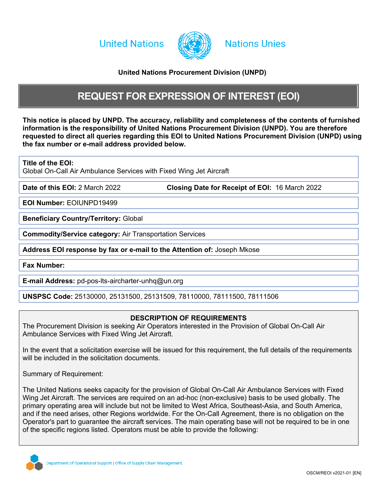**United Nations** 



## **Nations Unies**

## <span id="page-0-0"></span>**United Nations Procurement Division (UNPD)**

## <span id="page-0-2"></span>**REQUEST FOR EXPRESSION OF INTEREST (EOI)**

This notice is placed by UNPD. The accuracy, reli[ab](#page-0-0)ility and completeness of the contents of furnished **information is the responsibility of [United](#page-0-0) [Nations](#page-0-0) [Procurement](#page-0-0) [Division](#page-0-0) [\(UNPD\)](#page-0-0). You are therefore requested to direct all queries regarding this EOI to [United](#page-0-0) [Nations](#page-0-0) [Procurement](#page-0-0) [Division](#page-0-0) [\(UNPD\)](#page-0-0) using the fax number or e-mail address provided below.**

**Title of the EOI:**

Global On-Call Air Ambulance Services with Fixed Wing Jet Aircraft

**Date of this EOI:** 2 March 2022 **Closing Date for Receipt of EOI:** 16 March 2022

**EOI Number:** EOIUNPD19499

**Beneficiary Country/Territory:** Global

**Commodity/Service category:** Air Transportation Services

**Address EOI response by fax or e-mail to the Attention of:** Joseph Mkose

**Fax Number:**

<span id="page-0-1"></span>**E-mail Address:** pd-pos-lts-aircharter-unhq@un.org

**UNSPSC Code:** 25130000, 25131500, 25131509, 78110000, 78111500, 78111506

## **DESCRIPTION OF REQUIREMENTS**

The Procurement Division is seeking Air Operators interested in the Provision of Global On-Call Air Ambulance Services with Fixed Wing Jet Aircraft.

In the event that a solicitation exercise will be issued for this requirement, the full details of the requirements will be included in the solicitation documents.

Summary of Requirement:

The United Nations seeks capacity for the provision of Global On-Call Air Ambulance Services with Fixed Wing Jet Aircraft. The services are required on an ad-hoc (non-exclusive) basis to be used globally. The primary operating area will include but not be limited to West Africa, Southeast-Asia, and South America, and if the need arises, other Regions worldwide. For the On-Call Agreement, there is no obligation on the Operator's part to guarantee the aircraft services. The main operating base will not be required to be in one of the specific regions listed. Operators must be able to provide the following:

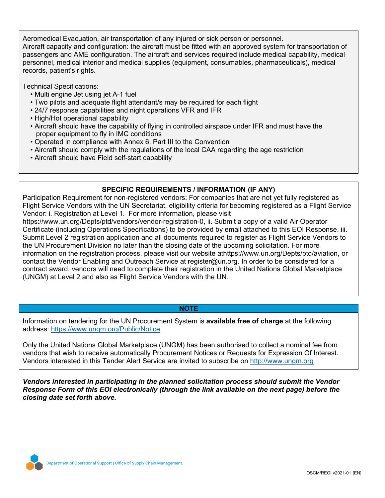Aeromedical Evacuation, air transportation of any injured or sick person or personnel. Aircraft capacity and configuration: the aircraft must be fitted with an approved system for transportation of passengers and AME configuration. The aircraft and services required include medical capability, medical personnel, medical interior and medical supplies (equipment, consumables, pharmaceuticals), medical records, patient's rights.

Technical Specifications:

- Multi engine Jet using jet A-1 fuel
- Two pilots and adequate flight attendant/s may be required for each flight
- 24/7 response capabilities and night operations VFR and IFR
- High/Hot operational capability
- Aircraft should have the capability of flying in controlled airspace under IFR and must have the proper equipment to fly in IMC conditions
- Operated in compliance with Annex 6, Part III to the Convention
- Aircraft should comply with the regulations of the local CAA regarding the age restriction
- Aircraft should have Field self-start capability

## **SPECIFIC REQUIREMENTS / INFORMATION (IF ANY)**

Participation Requirement for non-registered vendors: For companies that are not yet fully registered as Flight Service Vendors with the UN Secretariat, eligibility criteria for becoming registered as a Flight Service Vendor: i. Registration at Level 1. For more information, please visit

https://www.un.org/Depts/ptd/vendors/vendor-registration-0, ii. Submit a copy of a valid Air Operator Certificate (including Operations Specifications) to be provided by email attached to this EOI Response. iii. Submit Level 2 registration application and all documents required to register as Flight Service Vendors to the UN Procurement Division no later than the closing date of the upcoming solicitation. For more information on the registration process, please visit our website athttps://www.un.org/Depts/ptd/aviation, or contact the Vendor Enabling and Outreach Service at register@un.org. In order to be considered for a contract award, vendors will need to complete their registration in the United Nations Global Marketplace (UNGM) at Level 2 and also as Flight Service Vendors with the UN.

### **NOTE**

Information on tendering for the UN Procurement System is **available free of charge** at the following address: <https://www.ungm.org/Public/Notice>

Only the United Nations Global Marketplace (UNGM) has been authorised to collect a nominal fee from vendors that wish to receive automatically Procurement Notices or Requests for Expression Of Interest. Vendors interested in this Tender Alert Service are invited to subscribe on [http://www.ungm.org](http://www.ungm.org/)

*Vendors interested in participating in the planned solicitation process should submit the Vendor Response Form of this EOI electronically (through the link available on the next page) before the closing date set forth above.*

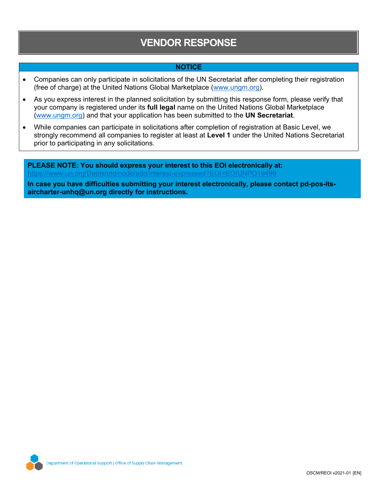# **VENDOR RESPONSE**

### **NOTICE**

- Companies can only participate in solicitations of the UN Secretariat after completing their registration (free of charge) at the United Nations Global Marketplace ([www.ungm.org\)](http://www.ungm.org/).
- As you express interest in the planned solicitation by submitting this response form, please verify that your company is registered under its **full legal** name on the United Nations Global Marketplace ([www.ungm.org\)](http://www.ungm.org/) and that your application has been submitted to the **UN Secretariat**.
- While companies can participate in solicitations after completion of registration at Basic Level, we strongly recommend all companies to register at least at **Level 1** under the United Nations Secretariat prior to participating in any solicitations.

**PLEASE NOTE: You should express your interest to this EOI electronically at:** https://www.un.org/Depts/ptd/node/add/interest-expressed?EOI=EOIUNPD19499

**In case you have difficulties submitting your interest electronically, please contact [pd-pos-lts](#page-0-1)[aircharter-unhq@un.org](#page-0-1) directly for instructions.**